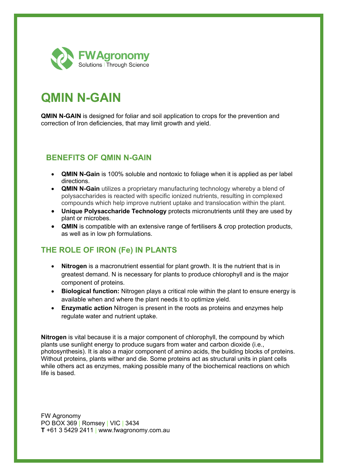

# **QMIN N-GAIN**

**QMIN N-GAIN** is designed for foliar and soil application to crops for the prevention and correction of Iron deficiencies, that may limit growth and yield.

### **BENEFITS OF QMIN N-GAIN**

- **QMIN N-Gain** is 100% soluble and nontoxic to foliage when it is applied as per label directions.
- **QMIN N-Gain** utilizes a proprietary manufacturing technology whereby a blend of polysaccharides is reacted with specific ionized nutrients, resulting in complexed compounds which help improve nutrient uptake and translocation within the plant.
- **Unique Polysaccharide Technology** protects micronutrients until they are used by plant or microbes.
- **QMIN** is compatible with an extensive range of fertilisers & crop protection products, as well as in low ph formulations.

## **THE ROLE OF IRON (Fe) IN PLANTS**

- **Nitrogen** is a macronutrient essential for plant growth. It is the nutrient that is in greatest demand. N is necessary for plants to produce chlorophyll and is the major component of proteins.
- **Biological function:** Nitrogen plays a critical role within the plant to ensure energy is available when and where the plant needs it to optimize yield.
- **Enzymatic action** Nitrogen is present in the roots as proteins and enzymes help regulate water and nutrient uptake.

**Nitrogen** is vital because it is a major component of chlorophyll, the compound by which plants use sunlight energy to produce sugars from water and carbon dioxide (i.e., photosynthesis). It is also a major component of amino acids, the building blocks of proteins. Without proteins, plants wither and die. Some proteins act as structural units in plant cells while others act as enzymes, making possible many of the biochemical reactions on which life is based.

FW Agronomy PO BOX 369 | Romsey | VIC | 3434 **T** +61 3 5429 2411 | www.fwagronomy.com.au